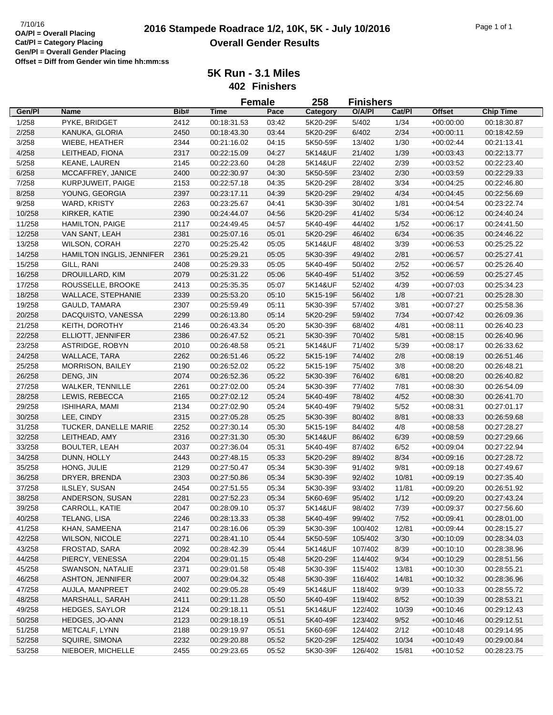|        |                           |      |             | <b>Female</b> | 258      | <b>Finishers</b> |        |               |                            |
|--------|---------------------------|------|-------------|---------------|----------|------------------|--------|---------------|----------------------------|
| Gen/Pl | <b>Name</b>               | Bib# | <b>Time</b> | Pace          | Category | O/A/PI           | Cat/Pl | <b>Offset</b> | <b>Chip Time</b>           |
| 1/258  | PYKE, BRIDGET             | 2412 | 00:18:31.53 | 03:42         | 5K20-29F | 5/402            | 1/34   | $+00:00:00$   | 00:18:30.87                |
| 2/258  | KANUKA, GLORIA            | 2450 | 00:18:43.30 | 03:44         | 5K20-29F | 6/402            | 2/34   | $+00:00:11$   | 00:18:42.59                |
| 3/258  | WIEBE, HEATHER            | 2344 | 00:21:16.02 | 04:15         | 5K50-59F | 13/402           | 1/30   | $+00:02:44$   | 00:21:13.41                |
| 4/258  | LEITHEAD, FIONA           | 2317 | 00:22:15.09 | 04:27         | 5K14&UF  | 21/402           | 1/39   | $+00:03:43$   | 00:22:13.77                |
| 5/258  | KEANE, LAUREN             | 2145 | 00:22:23.60 | 04:28         | 5K14&UF  | 22/402           | 2/39   | $+00:03:52$   | 00:22:23.40                |
| 6/258  | MCCAFFREY, JANICE         | 2400 | 00:22:30.97 | 04:30         | 5K50-59F | 23/402           | 2/30   | $+00:03:59$   | 00:22:29.33                |
| 7/258  | KURPJUWEIT, PAIGE         | 2153 | 00:22:57.18 | 04:35         | 5K20-29F | 28/402           | 3/34   | $+00:04:25$   | 00:22:46.80                |
| 8/258  | YOUNG, GEORGIA            | 2397 | 00:23:17.11 | 04:39         | 5K20-29F | 29/402           | 4/34   | $+00:04:45$   | 00:22:56.69                |
| 9/258  | WARD, KRISTY              | 2263 | 00:23:25.67 | 04:41         | 5K30-39F | 30/402           | 1/81   | $+00:04:54$   | 00:23:22.74                |
| 10/258 | KIRKER, KATIE             | 2390 | 00:24:44.07 | 04:56         | 5K20-29F | 41/402           | $5/34$ | $+00:06:12$   | 00:24:40.24                |
| 11/258 | <b>HAMILTON, PAIGE</b>    | 2117 | 00:24:49.45 | 04:57         | 5K40-49F | 44/402           | 1/52   | $+00:06:17$   | 00:24:41.50                |
| 12/258 | VAN SANT, LEAH            | 2381 | 00:25:07.16 | 05:01         | 5K20-29F | 46/402           | 6/34   | $+00:06:35$   | 00:24:46.22                |
| 13/258 | WILSON, CORAH             | 2270 | 00:25:25.42 | 05:05         | 5K14&UF  | 48/402           | 3/39   | $+00:06:53$   | 00:25:25.22                |
| 14/258 | HAMILTON INGLIS, JENNIFER | 2361 | 00:25:29.21 | 05:05         | 5K30-39F | 49/402           | 2/81   | $+00:06:57$   | 00:25:27.41                |
| 15/258 | GILL, RANI                | 2408 | 00:25:29.33 | 05:05         | 5K40-49F | 50/402           | 2/52   | $+00:06:57$   | 00:25:26.40                |
| 16/258 | DROUILLARD, KIM           | 2079 | 00:25:31.22 | 05:06         | 5K40-49F | 51/402           | $3/52$ | $+00:06:59$   | 00:25:27.45                |
| 17/258 | ROUSSELLE, BROOKE         | 2413 | 00:25:35.35 | 05:07         | 5K14&UF  | 52/402           | 4/39   | $+00:07:03$   | 00:25:34.23                |
| 18/258 | <b>WALLACE, STEPHANIE</b> | 2339 | 00:25:53.20 | 05:10         | 5K15-19F | 56/402           | 1/8    | $+00:07:21$   | 00:25:28.30                |
| 19/258 | <b>GAULD, TAMARA</b>      | 2307 | 00:25:59.49 | 05:11         | 5K30-39F | 57/402           | 3/81   | $+00:07:27$   | 00:25:58.36                |
| 20/258 | DACQUISTO, VANESSA        | 2299 | 00:26:13.80 | 05:14         | 5K20-29F | 59/402           | 7/34   | $+00:07:42$   | 00:26:09.36                |
|        |                           |      |             |               |          |                  |        |               |                            |
| 21/258 | KEITH, DOROTHY            | 2146 | 00:26:43.34 | 05:20         | 5K30-39F | 68/402           | 4/81   | $+00:08:11$   | 00:26:40.23<br>00:26:40.96 |
| 22/258 | ELLIOTT, JENNIFER         | 2386 | 00:26:47.52 | 05:21         | 5K30-39F | 70/402           | 5/81   | $+00:08:15$   |                            |
| 23/258 | ASTRIDGE, ROBYN           | 2010 | 00:26:48.58 | 05:21         | 5K14&UF  | 71/402           | 5/39   | $+00:08:17$   | 00:26:33.62                |
| 24/258 | WALLACE, TARA             | 2262 | 00:26:51.46 | 05:22         | 5K15-19F | 74/402           | 2/8    | $+00:08:19$   | 00:26:51.46                |
| 25/258 | MORRISON, BAILEY          | 2190 | 00:26:52.02 | 05:22         | 5K15-19F | 75/402           | 3/8    | $+00:08:20$   | 00:26:48.21                |
| 26/258 | DENG, JIN                 | 2074 | 00:26:52.36 | 05:22         | 5K30-39F | 76/402           | 6/81   | $+00:08:20$   | 00:26:40.82                |
| 27/258 | <b>WALKER, TENNILLE</b>   | 2261 | 00:27:02.00 | 05:24         | 5K30-39F | 77/402           | 7/81   | $+00:08:30$   | 00:26:54.09                |
| 28/258 | LEWIS, REBECCA            | 2165 | 00:27:02.12 | 05:24         | 5K40-49F | 78/402           | 4/52   | $+00:08:30$   | 00:26:41.70                |
| 29/258 | ISHIHARA, MAMI            | 2134 | 00:27:02.90 | 05:24         | 5K40-49F | 79/402           | 5/52   | $+00:08:31$   | 00:27:01.17                |
| 30/258 | LEE, CINDY                | 2315 | 00:27:05.28 | 05:25         | 5K30-39F | 80/402           | 8/81   | $+00:08:33$   | 00:26:59.68                |
| 31/258 | TUCKER, DANELLE MARIE     | 2252 | 00:27:30.14 | 05:30         | 5K15-19F | 84/402           | 4/8    | $+00:08:58$   | 00:27:28.27                |
| 32/258 | LEITHEAD, AMY             | 2316 | 00:27:31.30 | 05:30         | 5K14&UF  | 86/402           | 6/39   | $+00:08:59$   | 00:27:29.66                |
| 33/258 | <b>BOULTER, LEAH</b>      | 2037 | 00:27:36.04 | 05:31         | 5K40-49F | 87/402           | 6/52   | $+00:09:04$   | 00:27:22.94                |
| 34/258 | DUNN, HOLLY               | 2443 | 00:27:48.15 | 05:33         | 5K20-29F | 89/402           | 8/34   | $+00:09:16$   | 00:27:28.72                |
| 35/258 | HONG, JULIE               | 2129 | 00:27:50.47 | 05:34         | 5K30-39F | 91/402           | 9/81   | $+00:09:18$   | 00:27:49.67                |
| 36/258 | DRYER, BRENDA             | 2303 | 00:27:50.86 | 05:34         | 5K30-39F | 92/402           | 10/81  | $+00:09:19$   | 00:27:35.40                |
| 37/258 | ILSLEY, SUSAN             | 2454 | 00:27:51.55 | 05:34         | 5K30-39F | 93/402           | 11/81  | $+00:09:20$   | 00:26:51.92                |
| 38/258 | ANDERSON, SUSAN           | 2281 | 00:27:52.23 | 05:34         | 5K60-69F | 95/402           | 1/12   | $+00:09:20$   | 00:27:43.24                |
| 39/258 | CARROLL, KATIE            | 2047 | 00:28:09.10 | 05:37         | 5K14&UF  | 98/402           | 7/39   | $+00:09:37$   | 00:27:56.60                |
| 40/258 | TELANG, LISA              | 2246 | 00:28:13.33 | 05:38         | 5K40-49F | 99/402           | 7/52   | $+00.09:41$   | 00:28:01.00                |
| 41/258 | KHAN, SAMEENA             | 2147 | 00:28:16.06 | 05:39         | 5K30-39F | 100/402          | 12/81  | $+00:09:44$   | 00:28:15.27                |
| 42/258 | <b>WILSON, NICOLE</b>     | 2271 | 00:28:41.10 | 05:44         | 5K50-59F | 105/402          | 3/30   | $+00:10:09$   | 00:28:34.03                |
| 43/258 | FROSTAD, SARA             | 2092 | 00:28:42.39 | 05:44         | 5K14&UF  | 107/402          | 8/39   | $+00:10:10$   | 00:28:38.96                |
| 44/258 | PIERCY, VENESSA           | 2204 | 00:29:01.15 | 05:48         | 5K20-29F | 114/402          | 9/34   | $+00:10:29$   | 00:28:51.56                |
| 45/258 | SWANSON, NATALIE          | 2371 | 00:29:01.58 | 05:48         | 5K30-39F | 115/402          | 13/81  | $+00:10:30$   | 00:28:55.21                |
| 46/258 | ASHTON, JENNIFER          | 2007 | 00:29:04.32 | 05:48         | 5K30-39F | 116/402          | 14/81  | $+00:10:32$   | 00:28:36.96                |
| 47/258 | AUJLA, MANPREET           | 2402 | 00:29:05.28 | 05:49         | 5K14&UF  | 118/402          | 9/39   | $+00:10:33$   | 00:28:55.72                |
| 48/258 | MARSHALL, SARAH           | 2411 | 00:29:11.28 | 05:50         | 5K40-49F | 119/402          | 8/52   | $+00:10:39$   | 00:28:53.21                |
| 49/258 | HEDGES, SAYLOR            | 2124 | 00:29:18.11 | 05:51         | 5K14&UF  | 122/402          | 10/39  | $+00:10:46$   | 00:29:12.43                |
| 50/258 | HEDGES, JO-ANN            | 2123 | 00:29:18.19 | 05:51         | 5K40-49F | 123/402          | 9/52   | $+00:10:46$   | 00:29:12.51                |
| 51/258 | METCALF, LYNN             | 2188 | 00:29:19.97 | 05:51         | 5K60-69F | 124/402          | 2/12   | $+00:10:48$   | 00:29:14.95                |
| 52/258 | SQUIRE, SIMONA            | 2232 | 00:29:20.88 | 05:52         | 5K20-29F | 125/402          | 10/34  | $+00:10:49$   | 00:29:00.84                |
| 53/258 | NIEBOER, MICHELLE         | 2455 | 00:29:23.65 | 05:52         | 5K30-39F | 126/402          | 15/81  | $+00:10:52$   | 00:28:23.75                |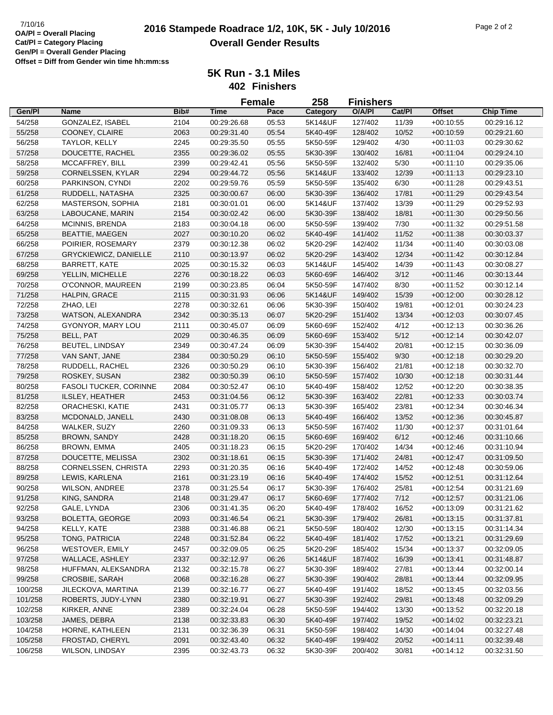|         |                               |      |             | <b>Female</b> | 258      | <b>Finishers</b> |        |               |                  |
|---------|-------------------------------|------|-------------|---------------|----------|------------------|--------|---------------|------------------|
| Gen/Pl  | <b>Name</b>                   | Bib# | <b>Time</b> | Pace          | Category | O/A/PI           | Cat/Pl | <b>Offset</b> | <b>Chip Time</b> |
| 54/258  | GONZALEZ, ISABEL              | 2104 | 00:29:26.68 | 05:53         | 5K14&UF  | 127/402          | 11/39  | $+00:10:55$   | 00:29:16.12      |
| 55/258  | COONEY, CLAIRE                | 2063 | 00:29:31.40 | 05:54         | 5K40-49F | 128/402          | 10/52  | $+00:10:59$   | 00:29:21.60      |
| 56/258  | TAYLOR, KELLY                 | 2245 | 00:29:35.50 | 05:55         | 5K50-59F | 129/402          | 4/30   | $+00:11:03$   | 00:29:30.62      |
| 57/258  | DOUCETTE, RACHEL              | 2355 | 00:29:36.02 | 05:55         | 5K30-39F | 130/402          | 16/81  | $+00:11:04$   | 00:29:24.10      |
| 58/258  | MCCAFFREY, BILL               | 2399 | 00:29:42.41 | 05:56         | 5K50-59F | 132/402          | 5/30   | $+00:11:10$   | 00:29:35.06      |
| 59/258  | CORNELSSEN, KYLAR             | 2294 | 00:29:44.72 | 05:56         | 5K14&UF  | 133/402          | 12/39  | $+00:11:13$   | 00:29:23.10      |
| 60/258  | PARKINSON, CYNDI              | 2202 | 00:29:59.76 | 05:59         | 5K50-59F | 135/402          | 6/30   | $+00:11:28$   | 00:29:43.51      |
| 61/258  | RUDDELL, NATASHA              | 2325 | 00:30:00.67 | 06:00         | 5K30-39F | 136/402          | 17/81  | $+00:11:29$   | 00:29:43.54      |
| 62/258  | MASTERSON, SOPHIA             | 2181 | 00:30:01.01 | 06:00         | 5K14&UF  | 137/402          | 13/39  | $+00:11:29$   | 00:29:52.93      |
| 63/258  | LABOUCANE, MARIN              | 2154 | 00:30:02.42 | 06:00         | 5K30-39F | 138/402          | 18/81  | $+00:11:30$   | 00:29:50.56      |
| 64/258  | MCINNIS, BRENDA               | 2183 | 00:30:04.18 | 06:00         | 5K50-59F | 139/402          | 7/30   | $+00:11:32$   | 00:29:51.58      |
| 65/258  | <b>BEATTIE, MAEGEN</b>        | 2027 | 00:30:10.20 | 06:02         | 5K40-49F | 141/402          | 11/52  | $+00:11:38$   | 00:30:03.37      |
| 66/258  | POIRIER, ROSEMARY             | 2379 | 00:30:12.38 | 06:02         | 5K20-29F | 142/402          | 11/34  | $+00:11:40$   | 00:30:03.08      |
| 67/258  | <b>GRYCKIEWICZ, DANIELLE</b>  | 2110 | 00:30:13.97 | 06:02         | 5K20-29F | 143/402          | 12/34  | $+00:11:42$   | 00:30:12.84      |
| 68/258  | BARRETT, KATE                 | 2025 | 00:30:15.32 | 06:03         | 5K14&UF  | 145/402          | 14/39  | $+00:11:43$   | 00:30:08.27      |
| 69/258  | YELLIN, MICHELLE              | 2276 | 00:30:18.22 | 06:03         | 5K60-69F | 146/402          | 3/12   | $+00:11:46$   | 00:30:13.44      |
| 70/258  | O'CONNOR, MAUREEN             | 2199 | 00:30:23.85 | 06:04         | 5K50-59F | 147/402          | 8/30   | $+00:11:52$   | 00:30:12.14      |
| 71/258  | HALPIN, GRACE                 | 2115 | 00:30:31.93 | 06:06         | 5K14&UF  | 149/402          | 15/39  | $+00:12:00$   | 00:30:28.12      |
| 72/258  | ZHAO, LEI                     | 2278 | 00:30:32.61 | 06:06         | 5K30-39F | 150/402          | 19/81  | $+00:12:01$   | 00:30:24.23      |
| 73/258  | WATSON, ALEXANDRA             | 2342 | 00:30:35.13 | 06:07         | 5K20-29F | 151/402          | 13/34  | $+00:12:03$   | 00:30:07.45      |
| 74/258  | GYONYOR, MARY LOU             | 2111 | 00:30:45.07 | 06:09         | 5K60-69F | 152/402          | 4/12   | $+00:12:13$   | 00:30:36.26      |
| 75/258  | <b>BELL, PAT</b>              | 2029 | 00:30:46.35 | 06:09         | 5K60-69F | 153/402          | 5/12   | $+00:12:14$   | 00:30:42.07      |
| 76/258  | <b>BEUTEL, LINDSAY</b>        | 2349 | 00:30:47.24 | 06:09         | 5K30-39F | 154/402          | 20/81  | $+00:12:15$   | 00:30:36.09      |
| 77/258  | VAN SANT, JANE                | 2384 | 00:30:50.29 | 06:10         | 5K50-59F | 155/402          | 9/30   | $+00:12:18$   | 00:30:29.20      |
| 78/258  | RUDDELL, RACHEL               | 2326 | 00:30:50.29 | 06:10         | 5K30-39F | 156/402          | 21/81  | $+00:12:18$   | 00:30:32.70      |
| 79/258  | ROSKEY, SUSAN                 | 2382 | 00:30:50.39 | 06:10         | 5K50-59F | 157/402          | 10/30  | $+00:12:18$   | 00:30:31.44      |
| 80/258  | <b>FASOLI TUCKER, CORINNE</b> | 2084 | 00:30:52.47 | 06:10         | 5K40-49F | 158/402          | 12/52  | $+00:12:20$   | 00:30:38.35      |
| 81/258  | ILSLEY, HEATHER               | 2453 | 00:31:04.56 | 06:12         | 5K30-39F | 163/402          | 22/81  | $+00:12:33$   | 00:30:03.74      |
| 82/258  | ORACHESKI, KATIE              | 2431 | 00:31:05.77 | 06:13         | 5K30-39F | 165/402          | 23/81  | $+00:12:34$   | 00:30:46.34      |
| 83/258  | MCDONALD, JANELL              | 2430 | 00:31:08.08 | 06:13         | 5K40-49F | 166/402          | 13/52  | $+00:12:36$   | 00:30:45.87      |
| 84/258  | WALKER, SUZY                  | 2260 | 00:31:09.33 | 06:13         | 5K50-59F | 167/402          | 11/30  | $+00:12:37$   | 00:31:01.64      |
| 85/258  | <b>BROWN, SANDY</b>           | 2428 | 00:31:18.20 | 06:15         | 5K60-69F | 169/402          | 6/12   | $+00:12:46$   | 00:31:10.66      |
| 86/258  | <b>BROWN, EMMA</b>            | 2405 | 00:31:18.23 | 06:15         | 5K20-29F | 170/402          | 14/34  | $+00:12:46$   | 00:31:10.94      |
| 87/258  | DOUCETTE, MELISSA             | 2302 | 00:31:18.61 | 06:15         | 5K30-39F | 171/402          | 24/81  | $+00:12:47$   | 00:31:09.50      |
| 88/258  | CORNELSSEN, CHRISTA           | 2293 | 00:31:20.35 | 06:16         | 5K40-49F | 172/402          | 14/52  | $+00:12:48$   | 00:30:59.06      |
| 89/258  | LEWIS, KARLENA                | 2161 | 00:31:23.19 | 06:16         | 5K40-49F | 174/402          | 15/52  | $+00:12:51$   | 00:31:12.64      |
| 90/258  | <b>WILSON, ANDREE</b>         | 2378 | 00:31:25.54 | 06:17         | 5K30-39F | 176/402          | 25/81  | $+00:12:54$   | 00:31:21.69      |
| 91/258  | KING, SANDRA                  | 2148 | 00:31:29.47 | 06:17         | 5K60-69F | 177/402          | 7/12   | $+00:12:57$   | 00:31:21.06      |
| 92/258  | GALE, LYNDA                   | 2306 | 00:31:41.35 | 06:20         | 5K40-49F | 178/402          | 16/52  | $+00:13:09$   | 00:31:21.62      |
| 93/258  | <b>BOLETTA, GEORGE</b>        | 2093 | 00:31:46.54 | 06:21         | 5K30-39F | 179/402          | 26/81  | $+00:13:15$   | 00:31:37.81      |
| 94/258  | KELLY, KATE                   | 2388 | 00:31:46.88 | 06:21         | 5K50-59F | 180/402          | 12/30  | $+00:13:15$   | 00:31:14.34      |
| 95/258  | TONG, PATRICIA                | 2248 | 00:31:52.84 | 06:22         | 5K40-49F | 181/402          | 17/52  | $+00:13:21$   | 00:31:29.69      |
| 96/258  | WESTOVER, EMILY               | 2457 | 00:32:09.05 | 06:25         | 5K20-29F | 185/402          | 15/34  | $+00:13:37$   | 00:32:09.05      |
| 97/258  | WALLACE, ASHLEY               | 2337 | 00:32:12.97 | 06:26         | 5K14&UF  | 187/402          | 16/39  | $+00:13:41$   | 00:31:48.87      |
| 98/258  | HUFFMAN, ALEKSANDRA           | 2132 | 00:32:15.78 | 06:27         | 5K30-39F | 189/402          | 27/81  | $+00:13:44$   | 00:32:00.14      |
| 99/258  | <b>CROSBIE, SARAH</b>         | 2068 | 00:32:16.28 | 06:27         | 5K30-39F | 190/402          | 28/81  | $+00:13:44$   | 00:32:09.95      |
| 100/258 | JILECKOVA, MARTINA            | 2139 | 00:32:16.77 | 06:27         | 5K40-49F | 191/402          | 18/52  | $+00:13:45$   | 00:32:03.56      |
| 101/258 | ROBERTS, JUDY-LYNN            | 2380 | 00:32:19.91 | 06:27         | 5K30-39F | 192/402          | 29/81  | $+00:13:48$   | 00:32:09.29      |
| 102/258 | KIRKER, ANNE                  | 2389 | 00:32:24.04 | 06:28         | 5K50-59F | 194/402          | 13/30  | $+00:13:52$   | 00:32:20.18      |
| 103/258 | JAMES, DEBRA                  | 2138 | 00:32:33.83 | 06:30         | 5K40-49F | 197/402          | 19/52  | $+00:14:02$   | 00:32:23.21      |
| 104/258 | HORNE, KATHLEEN               | 2131 | 00:32:36.39 | 06:31         | 5K50-59F | 198/402          | 14/30  | $+00:14:04$   | 00:32:27.48      |
| 105/258 | FROSTAD, CHERYL               | 2091 | 00:32:43.40 | 06:32         | 5K40-49F | 199/402          | 20/52  | $+00:14:11$   | 00:32:39.48      |
| 106/258 | WILSON, LINDSAY               | 2395 | 00:32:43.73 | 06:32         | 5K30-39F | 200/402          | 30/81  | $+00:14:12$   | 00:32:31.50      |
|         |                               |      |             |               |          |                  |        |               |                  |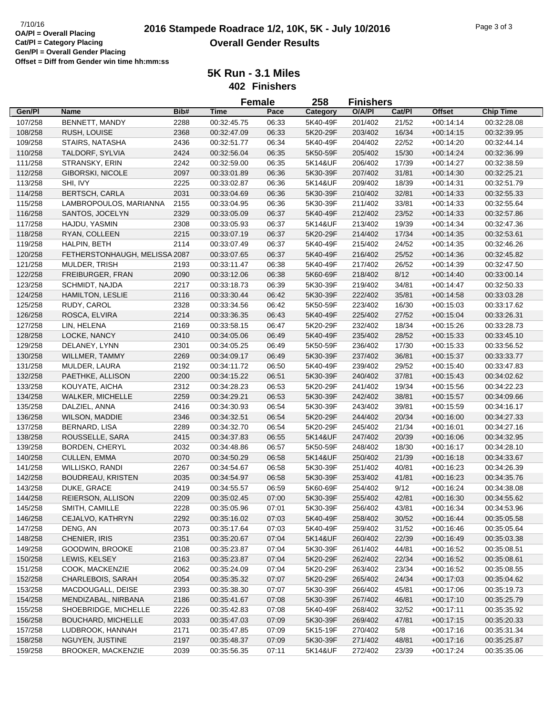|         |                               |      | <b>Female</b> |       | 258      | <b>Finishers</b> |        |               |                  |
|---------|-------------------------------|------|---------------|-------|----------|------------------|--------|---------------|------------------|
| Gen/Pl  | Name                          | Bib# | <b>Time</b>   | Pace  | Category | O/A/PI           | Cat/PI | <b>Offset</b> | <b>Chip Time</b> |
| 107/258 | BENNETT, MANDY                | 2288 | 00:32:45.75   | 06:33 | 5K40-49F | 201/402          | 21/52  | $+00:14:14$   | 00:32:28.08      |
| 108/258 | RUSH, LOUISE                  | 2368 | 00:32:47.09   | 06:33 | 5K20-29F | 203/402          | 16/34  | $+00:14:15$   | 00:32:39.95      |
| 109/258 | STAIRS, NATASHA               | 2436 | 00:32:51.77   | 06:34 | 5K40-49F | 204/402          | 22/52  | $+00:14:20$   | 00:32:44.14      |
| 110/258 | TALDORF, SYLVIA               | 2424 | 00:32:56.04   | 06:35 | 5K50-59F | 205/402          | 15/30  | $+00:14:24$   | 00:32:36.99      |
| 111/258 | STRANSKY, ERIN                | 2242 | 00:32:59.00   | 06:35 | 5K14&UF  | 206/402          | 17/39  | $+00:14:27$   | 00:32:38.59      |
| 112/258 | <b>GIBORSKI, NICOLE</b>       | 2097 | 00:33:01.89   | 06:36 | 5K30-39F | 207/402          | 31/81  | $+00:14:30$   | 00:32:25.21      |
| 113/258 | SHI, IVY                      | 2225 | 00:33:02.87   | 06:36 | 5K14&UF  | 209/402          | 18/39  | $+00:14:31$   | 00:32:51.79      |
| 114/258 | <b>BERTSCH, CARLA</b>         | 2031 | 00:33:04.69   | 06:36 | 5K30-39F | 210/402          | 32/81  | $+00:14:33$   | 00:32:55.33      |
| 115/258 | LAMBROPOULOS, MARIANNA        | 2155 | 00:33:04.95   | 06:36 | 5K30-39F | 211/402          | 33/81  | $+00:14:33$   | 00:32:55.64      |
| 116/258 | SANTOS, JOCELYN               | 2329 | 00:33:05.09   | 06:37 | 5K40-49F | 212/402          | 23/52  | $+00:14:33$   | 00:32:57.86      |
| 117/258 | HAJDU, YASMIN                 | 2308 | 00:33:05.93   | 06:37 | 5K14&UF  | 213/402          | 19/39  | $+00:14:34$   | 00:32:47.36      |
| 118/258 | RYAN, COLLEEN                 | 2215 | 00:33:07.19   | 06:37 | 5K20-29F | 214/402          | 17/34  | $+00:14:35$   | 00:32:53.61      |
| 119/258 | HALPIN, BETH                  | 2114 | 00:33:07.49   | 06:37 | 5K40-49F | 215/402          | 24/52  | $+00:14:35$   | 00:32:46.26      |
| 120/258 | FETHERSTONHAUGH, MELISSA 2087 |      | 00:33:07.65   | 06:37 | 5K40-49F | 216/402          | 25/52  | $+00:14:36$   | 00:32:45.82      |
| 121/258 | MULDER, TRISH                 | 2193 | 00:33:11.47   | 06:38 | 5K40-49F | 217/402          | 26/52  | $+00:14:39$   | 00:32:47.50      |
| 122/258 | FREIBURGER, FRAN              | 2090 | 00:33:12.06   | 06:38 | 5K60-69F | 218/402          | 8/12   | $+00:14:40$   | 00:33:00.14      |
| 123/258 | SCHMIDT, NAJDA                | 2217 | 00:33:18.73   | 06:39 | 5K30-39F | 219/402          | 34/81  | $+00:14:47$   | 00:32:50.33      |
| 124/258 | HAMILTON, LESLIE              | 2116 | 00:33:30.44   | 06:42 | 5K30-39F | 222/402          | 35/81  | $+00:14:58$   | 00:33:03.28      |
| 125/258 | RUDY, CAROL                   | 2328 | 00:33:34.56   | 06:42 | 5K50-59F | 223/402          | 16/30  | $+00:15:03$   | 00:33:17.62      |
| 126/258 | ROSCA, ELVIRA                 | 2214 | 00:33:36.35   | 06:43 | 5K40-49F | 225/402          | 27/52  | $+00:15:04$   | 00:33:26.31      |
| 127/258 | LIN, HELENA                   | 2169 | 00:33:58.15   | 06:47 | 5K20-29F | 232/402          | 18/34  | $+00:15:26$   | 00:33:28.73      |
| 128/258 | LOCKE, NANCY                  | 2410 | 00:34:05.06   | 06:49 | 5K40-49F | 235/402          | 28/52  | $+00:15:33$   | 00:33:45.10      |
| 129/258 | DELANEY, LYNN                 | 2301 | 00:34:05.25   | 06:49 | 5K50-59F | 236/402          | 17/30  | $+00:15:33$   | 00:33:56.52      |
| 130/258 | WILLMER, TAMMY                | 2269 | 00:34:09.17   | 06:49 | 5K30-39F | 237/402          | 36/81  | $+00.15.37$   | 00:33:33.77      |
| 131/258 | MULDER, LAURA                 | 2192 | 00:34:11.72   | 06:50 | 5K40-49F | 239/402          | 29/52  | $+00:15:40$   | 00:33:47.83      |
| 132/258 | PAETHKE, ALLISON              | 2200 | 00:34:15.22   | 06:51 | 5K30-39F | 240/402          | 37/81  | $+00:15:43$   | 00:34:02.62      |
| 133/258 | KOUYATE, AICHA                | 2312 | 00:34:28.23   | 06:53 | 5K20-29F | 241/402          | 19/34  | $+00:15:56$   | 00:34:22.23      |
| 134/258 | WALKER, MICHELLE              | 2259 | 00:34:29.21   | 06:53 | 5K30-39F | 242/402          | 38/81  | $+00:15:57$   | 00:34:09.66      |
| 135/258 | DALZIEL, ANNA                 | 2416 | 00:34:30.93   | 06:54 | 5K30-39F | 243/402          | 39/81  | $+00:15:59$   | 00:34:16.17      |
| 136/258 | <b>WILSON, MADDIE</b>         | 2346 | 00:34:32.51   | 06:54 | 5K20-29F | 244/402          | 20/34  | $+00:16:00$   | 00:34:27.33      |
| 137/258 | <b>BERNARD, LISA</b>          | 2289 | 00:34:32.70   | 06:54 | 5K20-29F | 245/402          | 21/34  | $+00:16:01$   | 00:34:27.16      |
| 138/258 | ROUSSELLE, SARA               | 2415 | 00:34:37.83   | 06:55 | 5K14&UF  | 247/402          | 20/39  | $+00:16:06$   | 00:34:32.95      |
| 139/258 | <b>BORDEN, CHERYL</b>         | 2032 | 00:34:48.86   | 06:57 | 5K50-59F | 248/402          | 18/30  | $+00:16:17$   | 00:34:28.10      |
| 140/258 | CULLEN, EMMA                  | 2070 | 00:34:50.29   | 06:58 | 5K14&UF  | 250/402          | 21/39  | $+00:16:18$   | 00:34:33.67      |
| 141/258 | WILLISKO, RANDI               | 2267 | 00:34:54.67   | 06:58 | 5K30-39F | 251/402          | 40/81  | $+00:16:23$   | 00:34:26.39      |
| 142/258 | <b>BOUDREAU, KRISTEN</b>      | 2035 | 00:34:54.97   | 06:58 | 5K30-39F | 253/402          | 41/81  | $+00:16:23$   | 00:34:35.76      |
| 143/258 | DUKE, GRACE                   | 2419 | 00:34:55.57   | 06:59 | 5K60-69F | 254/402          | 9/12   | $+00:16:24$   | 00:34:38.08      |
| 144/258 | REIERSON, ALLISON             | 2209 | 00:35:02.45   | 07:00 | 5K30-39F | 255/402          | 42/81  | $+00:16:30$   | 00:34:55.62      |
| 145/258 | SMITH, CAMILLE                | 2228 | 00:35:05.96   | 07:01 | 5K30-39F | 256/402          | 43/81  | $+00:16:34$   | 00:34:53.96      |
| 146/258 | CEJALVO, KATHRYN              | 2292 | 00:35:16.02   | 07:03 | 5K40-49F | 258/402          | 30/52  | $+00:16:44$   | 00:35:05.58      |
| 147/258 | DENG, AN                      | 2073 | 00:35:17.64   | 07:03 | 5K40-49F | 259/402          | 31/52  | $+00:16:46$   | 00:35:05.64      |
| 148/258 | CHENIER, IRIS                 | 2351 | 00:35:20.67   | 07:04 | 5K14&UF  | 260/402          | 22/39  | $+00:16:49$   | 00:35:03.38      |
| 149/258 | GOODWIN, BROOKE               | 2108 | 00:35:23.87   | 07:04 | 5K30-39F | 261/402          | 44/81  | $+00:16:52$   | 00:35:08.51      |
| 150/258 | LEWIS, KELSEY                 | 2163 | 00:35:23.87   | 07:04 | 5K20-29F | 262/402          | 22/34  | $+00:16:52$   | 00:35:08.61      |
| 151/258 | COOK, MACKENZIE               | 2062 | 00:35:24.09   | 07:04 | 5K20-29F | 263/402          | 23/34  | $+00:16:52$   | 00:35:08.55      |
| 152/258 | CHARLEBOIS, SARAH             | 2054 | 00:35:35.32   | 07:07 | 5K20-29F | 265/402          | 24/34  | $+00:17:03$   | 00:35:04.62      |
| 153/258 | MACDOUGALL, DEISE             | 2393 | 00:35:38.30   | 07:07 | 5K30-39F | 266/402          | 45/81  | $+00:17:06$   | 00:35:19.73      |
| 154/258 | MENDIZABAL, NIRBANA           | 2186 | 00:35:41.67   | 07:08 | 5K30-39F | 267/402          | 46/81  | $+00:17:10$   | 00:35:25.79      |
| 155/258 | SHOEBRIDGE, MICHELLE          | 2226 | 00:35:42.83   | 07:08 | 5K40-49F | 268/402          | 32/52  | $+00:17:11$   | 00:35:35.92      |
| 156/258 | <b>BOUCHARD, MICHELLE</b>     | 2033 | 00:35:47.03   | 07:09 | 5K30-39F | 269/402          | 47/81  | $+00:17:15$   | 00:35:20.33      |
| 157/258 | LUDBROOK, HANNAH              | 2171 | 00:35:47.85   | 07:09 | 5K15-19F | 270/402          | 5/8    | $+00:17:16$   | 00:35:31.34      |
| 158/258 | NGUYEN, JUSTINE               | 2197 | 00:35:48.37   | 07:09 | 5K30-39F | 271/402          | 48/81  | $+00:17:16$   | 00:35:25.87      |
| 159/258 | BROOKER, MACKENZIE            | 2039 | 00:35:56.35   | 07:11 | 5K14&UF  | 272/402          | 23/39  | $+00:17:24$   | 00:35:35.06      |
|         |                               |      |               |       |          |                  |        |               |                  |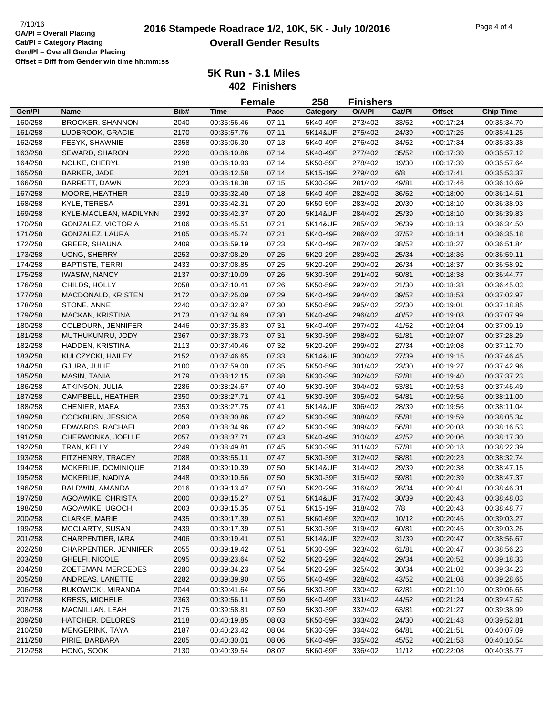|                    |                                          |      |             | <b>Female</b>  | 258                 | <b>Finishers</b> |        |                            |                  |
|--------------------|------------------------------------------|------|-------------|----------------|---------------------|------------------|--------|----------------------------|------------------|
| Gen/Pl             | Name                                     | Bib# | <b>Time</b> | Pace           | Category            | O/A/PI           | Cat/PI | <b>Offset</b>              | <b>Chip Time</b> |
| 160/258            | <b>BROOKER, SHANNON</b>                  | 2040 | 00:35:56.46 | 07:11          | 5K40-49F            | 273/402          | 33/52  | $+00:17:24$                | 00:35:34.70      |
| 161/258            | LUDBROOK, GRACIE                         | 2170 | 00:35:57.76 | 07:11          | 5K14&UF             | 275/402          | 24/39  | $+00:17:26$                | 00:35:41.25      |
| 162/258            | FESYK, SHAWNIE                           | 2358 | 00:36:06.30 | 07:13          | 5K40-49F            | 276/402          | 34/52  | $+00:17:34$                | 00:35:33.38      |
| 163/258            | SEWARD, SHARON                           | 2220 | 00:36:10.86 | 07:14          | 5K40-49F            | 277/402          | 35/52  | $+00:17:39$                | 00:35:57.12      |
| 164/258            | NOLKE, CHERYL                            | 2198 | 00:36:10.93 | 07:14          | 5K50-59F            | 278/402          | 19/30  | $+00:17:39$                | 00:35:57.64      |
| 165/258            | BARKER, JADE                             | 2021 | 00:36:12.58 | 07:14          | 5K15-19F            | 279/402          | 6/8    | $+00:17:41$                | 00:35:53.37      |
| 166/258            | BARRETT, DAWN                            | 2023 | 00:36:18.38 | 07:15          | 5K30-39F            | 281/402          | 49/81  | $+00:17:46$                | 00:36:10.69      |
| 167/258            | MOORE, HEATHER                           | 2319 | 00:36:32.40 | 07:18          | 5K40-49F            | 282/402          | 36/52  | $+00:18:00$                | 00:36:14.51      |
| 168/258            | KYLE, TERESA                             | 2391 | 00:36:42.31 | 07:20          | 5K50-59F            | 283/402          | 20/30  | $+00:18:10$                | 00:36:38.93      |
| 169/258            | KYLE-MACLEAN, MADILYNN                   | 2392 | 00:36:42.37 | 07:20          | 5K14&UF             | 284/402          | 25/39  | $+00:18:10$                | 00:36:39.83      |
| 170/258            | GONZALEZ, VICTORIA                       | 2106 | 00:36:45.51 | 07:21          | 5K14&UF             | 285/402          | 26/39  | $+00:18:13$                | 00:36:34.50      |
| 171/258            | GONZALEZ, LAURA                          | 2105 | 00:36:45.74 | 07:21          | 5K40-49F            | 286/402          | 37/52  | $+00:18:14$                | 00:36:35.18      |
| 172/258            | <b>GREER, SHAUNA</b>                     | 2409 | 00:36:59.19 | 07:23          | 5K40-49F            | 287/402          | 38/52  | $+00:18:27$                | 00:36:51.84      |
| 173/258            | UONG, SHERRY                             | 2253 | 00:37:08.29 | 07:25          | 5K20-29F            | 289/402          | 25/34  | $+00:18:36$                | 00:36:59.11      |
| 174/258            | <b>BAPTISTE, TERRI</b>                   | 2433 | 00:37:08.85 | 07:25          | 5K20-29F            | 290/402          | 26/34  | $+00:18:37$                | 00:36:58.92      |
| 175/258            | <b>IWASIW, NANCY</b>                     | 2137 | 00:37:10.09 | 07:26          | 5K30-39F            | 291/402          | 50/81  | $+00:18:38$                | 00:36:44.77      |
| 176/258            | CHILDS, HOLLY                            | 2058 | 00:37:10.41 | 07:26          | 5K50-59F            | 292/402          | 21/30  | $+00:18:38$                | 00:36:45.03      |
| 177/258            | MACDONALD, KRISTEN                       | 2172 | 00:37:25.09 | 07:29          | 5K40-49F            | 294/402          | 39/52  | $+00:18:53$                | 00:37:02.97      |
| 178/258            | STONE, ANNE                              | 2240 | 00:37:32.97 | 07:30          | 5K50-59F            | 295/402          | 22/30  | $+00:19:01$                | 00:37:18.85      |
| 179/258            | <b>MACKAN, KRISTINA</b>                  | 2173 | 00:37:34.69 | 07:30          | 5K40-49F            | 296/402          | 40/52  | $+00:19:03$                | 00:37:07.99      |
| 180/258            | COLBOURN, JENNIFER                       | 2446 | 00:37:35.83 | 07:31          | 5K40-49F            | 297/402          | 41/52  | $+00:19:04$                | 00:37:09.19      |
| 181/258            | MUTHUKUMRU, JODY                         | 2367 | 00:37:38.73 | 07:31          | 5K30-39F            | 298/402          | 51/81  | $+00:19:07$                | 00:37:28.29      |
| 182/258            | HADDEN, KRISTINA                         | 2113 | 00:37:40.46 | 07:32          | 5K20-29F            | 299/402          | 27/34  | $+00:19:08$                | 00:37:12.70      |
| 183/258            | KULCZYCKI, HAILEY                        | 2152 | 00:37:46.65 | 07:33          | 5K14&UF             | 300/402          | 27/39  |                            | 00:37:46.45      |
| 184/258            |                                          | 2100 | 00:37:59.00 | 07:35          | 5K50-59F            | 301/402          | 23/30  | $+00:19:15$<br>$+00:19:27$ | 00:37:42.96      |
| 185/258            | GJURA, JULIE<br>MASIN, TANIA             | 2179 | 00:38:12.15 | 07:38          | 5K30-39F            | 302/402          | 52/81  | $+00:19:40$                | 00:37:37.23      |
| 186/258            | ATKINSON, JULIA                          | 2286 | 00:38:24.67 | 07:40          | 5K30-39F            | 304/402          | 53/81  | $+00:19:53$                | 00:37:46.49      |
|                    | CAMPBELL, HEATHER                        | 2350 | 00:38:27.71 | 07:41          | 5K30-39F            | 305/402          | 54/81  |                            | 00:38:11.00      |
| 187/258            | CHENIER, MAEA                            | 2353 | 00:38:27.75 |                | 5K14&UF             | 306/402          | 28/39  | $+00:19:56$                | 00:38:11.04      |
| 188/258            | COCKBURN, JESSICA                        | 2059 | 00:38:30.86 | 07:41<br>07:42 | 5K30-39F            | 308/402          | 55/81  | $+00:19:56$                |                  |
| 189/258            |                                          |      |             |                |                     |                  |        | $+00:19:59$                | 00:38:05.34      |
| 190/258            | EDWARDS, RACHAEL                         | 2083 | 00:38:34.96 | 07:42          | 5K30-39F            | 309/402          | 56/81  | $+00:20:03$                | 00:38:16.53      |
| 191/258            | CHERWONKA, JOELLE                        | 2057 | 00:38:37.71 | 07:43          | 5K40-49F            | 310/402          | 42/52  | $+00:20:06$                | 00:38:17.30      |
| 192/258<br>193/258 | TRAN, KELLY                              | 2249 | 00:38:49.81 | 07:45          | 5K30-39F            | 311/402          | 57/81  | $+00:20:18$                | 00:38:22.39      |
|                    | FITZHENRY, TRACEY<br>MCKERLIE, DOMINIQUE | 2088 | 00:38:55.11 | 07:47          | 5K30-39F<br>5K14&UF | 312/402          | 58/81  | $+00:20:23$                | 00:38:32.74      |
| 194/258            |                                          | 2184 | 00:39:10.39 | 07:50          |                     | 314/402          | 29/39  | $+00:20:38$                | 00:38:47.15      |
| 195/258            | MCKERLIE, NADIYA                         | 2448 | 00:39:10.56 | 07:50          | 5K30-39F            | 315/402          | 59/81  | $+00:20:39$                | 00:38:47.37      |
| 196/258            | BALDWIN, AMANDA                          | 2016 | 00:39:13.47 | 07:50          | 5K20-29F            | 316/402          | 28/34  | $+00:20:41$                | 00:38:46.31      |
| 197/258            | AGOAWIKE, CHRISTA                        | 2000 | 00:39:15.27 | 07:51          | 5K14&UF             | 317/402          | 30/39  | $+00:20:43$                | 00:38:48.03      |
| 198/258            | AGOAWIKE, UGOCHI                         | 2003 | 00:39:15.35 | 07:51          | 5K15-19F            | 318/402          | 7/8    | $+00:20:43$                | 00:38:48.77      |
| 200/258            | CLARKE, MARIE                            | 2435 | 00:39:17.39 | 07:51          | 5K60-69F            | 320/402          | 10/12  | $+00:20:45$                | 00:39:03.27      |
| 199/258            | MCCLARTY, SUSAN                          | 2439 | 00:39:17.39 | 07:51          | 5K30-39F            | 319/402          | 60/81  | $+00:20:45$                | 00:39:03.26      |
| 201/258            | CHARPENTIER, IARA                        | 2406 | 00:39:19.41 | 07:51          | 5K14&UF             | 322/402          | 31/39  | $+00:20:47$                | 00:38:56.67      |
| 202/258            | CHARPENTIER, JENNIFER                    | 2055 | 00:39:19.42 | 07:51          | 5K30-39F            | 323/402          | 61/81  | $+00:20:47$                | 00:38:56.23      |
| 203/258            | GHELFI, NICOLE                           | 2095 | 00:39:23.64 | 07:52          | 5K20-29F            | 324/402          | 29/34  | $+00:20:52$                | 00:39:18.33      |
| 204/258            | ZOETEMAN, MERCEDES                       | 2280 | 00:39:34.23 | 07:54          | 5K20-29F            | 325/402          | 30/34  | $+00:21:02$                | 00:39:34.23      |
| 205/258            | ANDREAS, LANETTE                         | 2282 | 00:39:39.90 | 07:55          | 5K40-49F            | 328/402          | 43/52  | $+00:21:08$                | 00:39:28.65      |
| 206/258            | <b>BUKOWICKI, MIRANDA</b>                | 2044 | 00:39:41.64 | 07:56          | 5K30-39F            | 330/402          | 62/81  | $+00:21:10$                | 00:39:06.65      |
| 207/258            | <b>KRESS, MICHELE</b>                    | 2363 | 00:39:56.11 | 07:59          | 5K40-49F            | 331/402          | 44/52  | $+00:21:24$                | 00:39:47.52      |
| 208/258            | MACMILLAN, LEAH                          | 2175 | 00:39:58.81 | 07:59          | 5K30-39F            | 332/402          | 63/81  | $+00:21:27$                | 00:39:38.99      |
| 209/258            | HATCHER, DELORES                         | 2118 | 00:40:19.85 | 08:03          | 5K50-59F            | 333/402          | 24/30  | $+00:21:48$                | 00:39:52.81      |
| 210/258            | MENGERINK, TAYA                          | 2187 | 00:40:23.42 | 08:04          | 5K30-39F            | 334/402          | 64/81  | $+00:21:51$                | 00:40:07.09      |
| 211/258            | PIRIE, BARBARA                           | 2205 | 00:40:30.01 | 08:06          | 5K40-49F            | 335/402          | 45/52  | $+00:21:58$                | 00:40:10.54      |
| 212/258            | HONG, SOOK                               | 2130 | 00:40:39.54 | 08:07          | 5K60-69F            | 336/402          | 11/12  | $+00:22:08$                | 00:40:35.77      |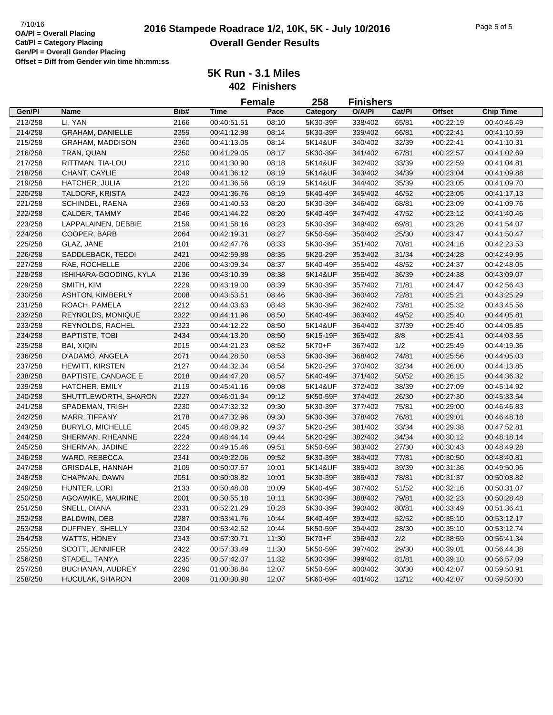|         |                            |      |             | <b>Female</b> | 258      | <b>Finishers</b> |        |               |                  |
|---------|----------------------------|------|-------------|---------------|----------|------------------|--------|---------------|------------------|
| Gen/Pl  | <b>Name</b>                | Bib# | <b>Time</b> | Pace          | Category | O/A/PI           | Cat/Pl | <b>Offset</b> | <b>Chip Time</b> |
| 213/258 | LI, YAN                    | 2166 | 00:40:51.51 | 08:10         | 5K30-39F | 338/402          | 65/81  | $+00:22:19$   | 00:40:46.49      |
| 214/258 | <b>GRAHAM, DANIELLE</b>    | 2359 | 00:41:12.98 | 08:14         | 5K30-39F | 339/402          | 66/81  | $+00:22:41$   | 00:41:10.59      |
| 215/258 | <b>GRAHAM, MADDISON</b>    | 2360 | 00:41:13.05 | 08:14         | 5K14&UF  | 340/402          | 32/39  | $+00:22:41$   | 00:41:10.31      |
| 216/258 | TRAN, QUAN                 | 2250 | 00:41:29.05 | 08:17         | 5K30-39F | 341/402          | 67/81  | $+00:22:57$   | 00:41:02.69      |
| 217/258 | RITTMAN, TIA-LOU           | 2210 | 00:41:30.90 | 08:18         | 5K14&UF  | 342/402          | 33/39  | $+00:22:59$   | 00:41:04.81      |
| 218/258 | CHANT, CAYLIE              | 2049 | 00:41:36.12 | 08:19         | 5K14&UF  | 343/402          | 34/39  | $+00:23:04$   | 00:41:09.88      |
| 219/258 | <b>HATCHER, JULIA</b>      | 2120 | 00:41:36.56 | 08:19         | 5K14&UF  | 344/402          | 35/39  | $+00:23:05$   | 00:41:09.70      |
| 220/258 | TALDORF, KRISTA            | 2423 | 00:41:36.76 | 08:19         | 5K40-49F | 345/402          | 46/52  | $+00:23:05$   | 00:41:17.13      |
| 221/258 | SCHINDEL, RAENA            | 2369 | 00:41:40.53 | 08:20         | 5K30-39F | 346/402          | 68/81  | $+00:23:09$   | 00:41:09.76      |
| 222/258 | CALDER, TAMMY              | 2046 | 00:41:44.22 | 08:20         | 5K40-49F | 347/402          | 47/52  | $+00:23:12$   | 00:41:40.46      |
| 223/258 | LAPPALAINEN, DEBBIE        | 2159 | 00:41:58.16 | 08:23         | 5K30-39F | 349/402          | 69/81  | $+00:23:26$   | 00:41:54.07      |
| 224/258 | COOPER, BARB               | 2064 | 00:42:19.31 | 08:27         | 5K50-59F | 350/402          | 25/30  | $+00:23:47$   | 00:41:50.47      |
| 225/258 | GLAZ, JANE                 | 2101 | 00:42:47.76 | 08:33         | 5K30-39F | 351/402          | 70/81  | $+00:24:16$   | 00:42:23.53      |
| 226/258 | SADDLEBACK, TEDDI          | 2421 | 00:42:59.88 | 08:35         | 5K20-29F | 353/402          | 31/34  | $+00:24:28$   | 00:42:49.95      |
| 227/258 | RAE, ROCHELLE              | 2206 | 00:43:09.34 | 08:37         | 5K40-49F | 355/402          | 48/52  | $+00:24:37$   | 00:42:48.05      |
|         |                            |      |             |               |          |                  |        |               |                  |
| 228/258 | ISHIHARA-GOODING, KYLA     | 2136 | 00:43:10.39 | 08:38         | 5K14&UF  | 356/402          | 36/39  | $+00:24:38$   | 00:43:09.07      |
| 229/258 | SMITH, KIM                 | 2229 | 00:43:19.00 | 08:39         | 5K30-39F | 357/402          | 71/81  | $+00:24:47$   | 00:42:56.43      |
| 230/258 | <b>ASHTON, KIMBERLY</b>    | 2008 | 00:43:53.51 | 08:46         | 5K30-39F | 360/402          | 72/81  | $+00:25:21$   | 00:43:25.29      |
| 231/258 | ROACH, PAMELA              | 2212 | 00:44:03.63 | 08:48         | 5K30-39F | 362/402          | 73/81  | $+00:25:32$   | 00:43:45.56      |
| 232/258 | REYNOLDS, MONIQUE          | 2322 | 00:44:11.96 | 08:50         | 5K40-49F | 363/402          | 49/52  | $+00:25:40$   | 00:44:05.81      |
| 233/258 | REYNOLDS, RACHEL           | 2323 | 00:44:12.22 | 08:50         | 5K14&UF  | 364/402          | 37/39  | $+00:25:40$   | 00:44:05.85      |
| 234/258 | <b>BAPTISTE, TOBI</b>      | 2434 | 00:44:13.20 | 08:50         | 5K15-19F | 365/402          | 8/8    | $+00:25:41$   | 00:44:03.55      |
| 235/258 | <b>BAI, XIQIN</b>          | 2015 | 00:44:21.23 | 08:52         | 5K70+F   | 367/402          | 1/2    | $+00:25:49$   | 00:44:19.36      |
| 236/258 | D'ADAMO, ANGELA            | 2071 | 00:44:28.50 | 08:53         | 5K30-39F | 368/402          | 74/81  | $+00:25:56$   | 00:44:05.03      |
| 237/258 | <b>HEWITT, KIRSTEN</b>     | 2127 | 00:44:32.34 | 08:54         | 5K20-29F | 370/402          | 32/34  | $+00:26:00$   | 00:44:13.85      |
| 238/258 | <b>BAPTISTE, CANDACE E</b> | 2018 | 00:44:47.20 | 08:57         | 5K40-49F | 371/402          | 50/52  | $+00:26:15$   | 00:44:36.32      |
| 239/258 | HATCHER, EMILY             | 2119 | 00:45:41.16 | 09:08         | 5K14&UF  | 372/402          | 38/39  | $+00:27:09$   | 00:45:14.92      |
| 240/258 | SHUTTLEWORTH, SHARON       | 2227 | 00:46:01.94 | 09:12         | 5K50-59F | 374/402          | 26/30  | $+00:27:30$   | 00:45:33.54      |
| 241/258 | SPADEMAN, TRISH            | 2230 | 00:47:32.32 | 09:30         | 5K30-39F | 377/402          | 75/81  | $+00:29:00$   | 00:46:46.83      |
| 242/258 | MARR, TIFFANY              | 2178 | 00:47:32.96 | 09:30         | 5K30-39F | 378/402          | 76/81  | $+00:29:01$   | 00:46:48.18      |
| 243/258 | <b>BURYLO, MICHELLE</b>    | 2045 | 00:48:09.92 | 09:37         | 5K20-29F | 381/402          | 33/34  | $+00:29:38$   | 00:47:52.81      |
| 244/258 | SHERMAN, RHEANNE           | 2224 | 00:48:44.14 | 09:44         | 5K20-29F | 382/402          | 34/34  | $+00:30:12$   | 00:48:18.14      |
| 245/258 | SHERMAN, JADINE            | 2222 | 00:49:15.46 | 09:51         | 5K50-59F | 383/402          | 27/30  | $+00:30:43$   | 00:48:49.28      |
| 246/258 | WARD, REBECCA              | 2341 | 00:49:22.06 | 09:52         | 5K30-39F | 384/402          | 77/81  | $+00:30:50$   | 00:48:40.81      |
| 247/258 | GRISDALE, HANNAH           | 2109 | 00:50:07.67 | 10:01         | 5K14&UF  | 385/402          | 39/39  | $+00:31:36$   | 00:49:50.96      |
| 248/258 | CHAPMAN, DAWN              | 2051 | 00:50:08.82 | 10:01         | 5K30-39F | 386/402          | 78/81  | $+00:31:37$   | 00:50:08.82      |
| 249/258 | HUNTER, LORI               | 2133 | 00:50:48.08 | 10:09         | 5K40-49F | 387/402          | 51/52  | $+00:32:16$   | 00:50:31.07      |
| 250/258 | AGOAWIKE, MAURINE          | 2001 | 00:50:55.18 | 10:11         | 5K30-39F | 388/402          | 79/81  | $+00:32:23$   | 00:50:28.48      |
| 251/258 | SNELL, DIANA               | 2331 | 00:52:21.29 | 10:28         | 5K30-39F | 390/402          | 80/81  | $+00:33:49$   | 00:51:36.41      |
| 252/258 | BALDWIN, DEB               | 2287 | 00:53:41.76 | 10:44         | 5K40-49F | 393/402          | 52/52  | $+00:35:10$   | 00:53:12.17      |
| 253/258 | DUFFNEY, SHELLY            | 2304 | 00:53:42.52 | 10:44         | 5K50-59F | 394/402          | 28/30  | $+00:35:10$   | 00:53:12.74      |
| 254/258 | <b>WATTS, HONEY</b>        | 2343 | 00:57:30.71 | 11:30         | 5K70+F   | 396/402          | 2/2    | $+00:38:59$   | 00:56:41.34      |
| 255/258 | <b>SCOTT, JENNIFER</b>     | 2422 | 00:57:33.49 | 11:30         | 5K50-59F | 397/402          | 29/30  | $+00:39:01$   | 00:56:44.38      |
| 256/258 | STADEL, TANYA              | 2235 | 00:57:42.07 | 11:32         | 5K30-39F | 399/402          | 81/81  | $+00:39:10$   | 00:56:57.09      |
| 257/258 | BUCHANAN, AUDREY           | 2290 | 01:00:38.84 | 12:07         | 5K50-59F | 400/402          | 30/30  | $+00:42:07$   | 00:59:50.91      |
| 258/258 | HUCULAK, SHARON            | 2309 | 01:00:38.98 | 12:07         | 5K60-69F | 401/402          | 12/12  | $+00:42:07$   | 00:59:50.00      |
|         |                            |      |             |               |          |                  |        |               |                  |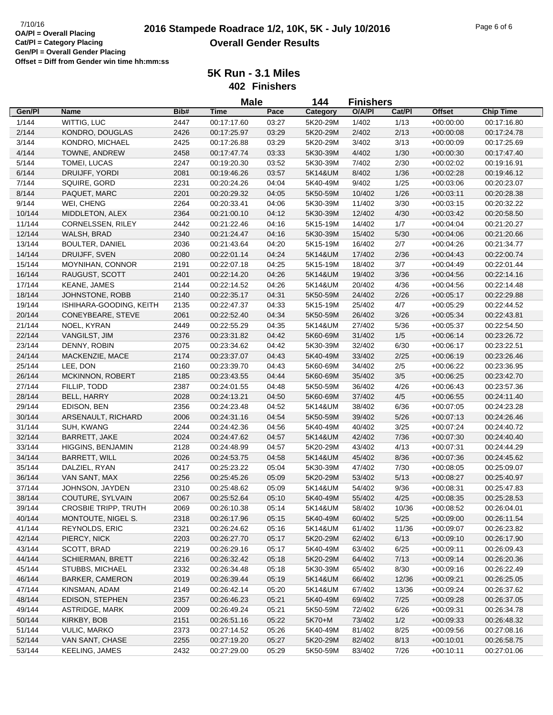**5K Run - 3.1 Miles**

**402 Finishers**

|        |                             |      | <b>Male</b> |       | 144      | <b>Finishers</b> |        |               |                  |
|--------|-----------------------------|------|-------------|-------|----------|------------------|--------|---------------|------------------|
| Gen/Pl | Name                        | Bib# | <b>Time</b> | Pace  | Category | O/A/PI           | Cat/Pl | <b>Offset</b> | <b>Chip Time</b> |
| 1/144  | WITTIG, LUC                 | 2447 | 00:17:17.60 | 03:27 | 5K20-29M | 1/402            | 1/13   | $+00:00:00$   | 00:17:16.80      |
| 2/144  | KONDRO, DOUGLAS             | 2426 | 00:17:25.97 | 03:29 | 5K20-29M | 2/402            | 2/13   | $+00:00:08$   | 00:17:24.78      |
| 3/144  | KONDRO, MICHAEL             | 2425 | 00:17:26.88 | 03:29 | 5K20-29M | 3/402            | 3/13   | $+00:00:09$   | 00:17:25.69      |
| 4/144  | TOWNE, ANDREW               | 2458 | 00:17:47.74 | 03:33 | 5K30-39M | 4/402            | 1/30   | $+00:00:30$   | 00:17:47.40      |
| 5/144  | TOMEI, LUCAS                | 2247 | 00:19:20.30 | 03:52 | 5K30-39M | 7/402            | 2/30   | $+00:02:02$   | 00:19:16.91      |
| 6/144  | DRUIJFF, YORDI              | 2081 | 00:19:46.26 | 03:57 | 5K14&UM  | 8/402            | 1/36   | $+00:02:28$   | 00:19:46.12      |
| 7/144  | SQUIRE, GORD                | 2231 | 00:20:24.26 | 04:04 | 5K40-49M | 9/402            | 1/25   | $+00:03:06$   | 00:20:23.07      |
| 8/144  | PAQUET, MARC                | 2201 | 00:20:29.32 | 04:05 | 5K50-59M | 10/402           | 1/26   | $+00:03:11$   | 00:20:28.38      |
| 9/144  | WEI, CHENG                  | 2264 | 00:20:33.41 | 04:06 | 5K30-39M | 11/402           | 3/30   | $+00:03:15$   | 00:20:32.22      |
| 10/144 | MIDDLETON, ALEX             | 2364 | 00:21:00.10 | 04:12 | 5K30-39M | 12/402           | 4/30   | $+00:03:42$   | 00:20:58.50      |
| 11/144 | CORNELSSEN, RILEY           | 2442 | 00:21:22.46 | 04:16 | 5K15-19M | 14/402           | 1/7    | $+00:04:04$   | 00:21:20.27      |
| 12/144 | WALSH, BRAD                 | 2340 | 00:21:24.47 | 04:16 | 5K30-39M | 15/402           | 5/30   | $+00:04:06$   | 00:21:20.66      |
| 13/144 | <b>BOULTER, DANIEL</b>      | 2036 | 00:21:43.64 | 04:20 | 5K15-19M | 16/402           | 2/7    | $+00:04:26$   | 00:21:34.77      |
| 14/144 | DRUIJFF, SVEN               | 2080 | 00:22:01.14 | 04:24 | 5K14&UM  | 17/402           | 2/36   | $+00:04:43$   | 00:22:00.74      |
| 15/144 | MOYNIHAN, CONNOR            | 2191 | 00:22:07.18 | 04:25 | 5K15-19M | 18/402           | 3/7    | $+00:04:49$   | 00:22:01.44      |
| 16/144 | RAUGUST, SCOTT              | 2401 | 00:22:14.20 | 04:26 | 5K14&UM  | 19/402           | 3/36   | $+00:04:56$   | 00:22:14.16      |
| 17/144 | <b>KEANE, JAMES</b>         | 2144 | 00:22:14.52 | 04:26 | 5K14&UM  | 20/402           | 4/36   | $+00:04:56$   | 00:22:14.48      |
| 18/144 | JOHNSTONE, ROBB             | 2140 | 00:22:35.17 | 04:31 | 5K50-59M | 24/402           | 2/26   | $+00:05:17$   | 00:22:29.88      |
| 19/144 | ISHIHARA-GOODING, KEITH     | 2135 | 00:22:47.37 | 04:33 | 5K15-19M | 25/402           | 4/7    | $+00:05:29$   | 00:22:44.52      |
| 20/144 | CONEYBEARE, STEVE           | 2061 | 00:22:52.40 | 04:34 | 5K50-59M | 26/402           | 3/26   | $+00:05:34$   | 00:22:43.81      |
| 21/144 | NOEL, KYRAN                 | 2449 | 00:22:55.29 | 04:35 | 5K14&UM  | 27/402           | 5/36   | $+00:05:37$   | 00:22:54.50      |
| 22/144 | VANGILST, JIM               | 2376 | 00:23:31.82 | 04:42 | 5K60-69M | 31/402           | 1/5    | $+00:06:14$   | 00:23:26.72      |
| 23/144 | DENNY, ROBIN                | 2075 | 00:23:34.62 | 04:42 | 5K30-39M | 32/402           | 6/30   | $+00:06:17$   | 00:23:22.51      |
| 24/144 | MACKENZIE, MACE             | 2174 | 00:23:37.07 | 04:43 | 5K40-49M | 33/402           | 2/25   | $+00:06:19$   | 00:23:26.46      |
| 25/144 | LEE, DON                    | 2160 | 00:23:39.70 | 04:43 | 5K60-69M | 34/402           | 2/5    | $+00:06:22$   | 00:23:36.95      |
| 26/144 | <b>MCKINNON, ROBERT</b>     | 2185 | 00:23:43.55 | 04:44 | 5K60-69M | 35/402           | 3/5    | $+00:06:25$   | 00:23:42.70      |
| 27/144 | FILLIP, TODD                | 2387 | 00:24:01.55 | 04:48 | 5K50-59M | 36/402           | 4/26   | $+00:06:43$   | 00:23:57.36      |
| 28/144 | BELL, HARRY                 | 2028 | 00:24:13.21 | 04:50 | 5K60-69M | 37/402           | 4/5    | $+00.06:55$   | 00:24:11.40      |
| 29/144 | EDISON, BEN                 | 2356 | 00:24:23.48 | 04:52 | 5K14&UM  | 38/402           | 6/36   | $+00:07:05$   | 00:24:23.28      |
| 30/144 | ARSENAULT, RICHARD          | 2006 | 00:24:31.16 | 04:54 | 5K50-59M | 39/402           | $5/26$ | $+00:07:13$   | 00:24:26.46      |
| 31/144 | SUH, KWANG                  | 2244 | 00:24:42.36 | 04:56 | 5K40-49M | 40/402           | 3/25   | $+00:07:24$   | 00:24:40.72      |
| 32/144 | BARRETT, JAKE               | 2024 | 00:24:47.62 | 04:57 | 5K14&UM  | 42/402           | 7/36   | $+00:07:30$   | 00:24:40.40      |
| 33/144 | HIGGINS, BENJAMIN           | 2128 | 00:24:48.99 | 04:57 | 5K20-29M | 43/402           | 4/13   | $+00.07:31$   | 00:24:44.29      |
| 34/144 | BARRETT, WILL               | 2026 | 00:24:53.75 | 04:58 | 5K14&UM  | 45/402           | 8/36   | $+00:07:36$   | 00:24:45.62      |
| 35/144 | DALZIEL, RYAN               | 2417 | 00:25:23.22 | 05:04 | 5K30-39M | 47/402           | 7/30   | $+00:08:05$   | 00:25:09.07      |
| 36/144 | VAN SANT, MAX               | 2256 | 00:25:45.26 | 05:09 | 5K20-29M | 53/402           | 5/13   | $+00:08:27$   | 00:25:40.97      |
| 37/144 | JOHNSON, JAYDEN             | 2310 | 00:25:48.62 | 05:09 | 5K14&UM  | 54/402           | 9/36   | $+00:08:31$   | 00:25:47.83      |
| 38/144 | COUTURE, SYLVAIN            | 2067 | 00:25:52.64 | 05:10 | 5K40-49M | 55/402           | 4/25   | $+00:08:35$   | 00:25:28.53      |
| 39/144 | <b>CROSBIE TRIPP, TRUTH</b> | 2069 | 00:26:10.38 | 05:14 | 5K14&UM  | 58/402           | 10/36  | $+00:08:52$   | 00:26:04.01      |
| 40/144 | MONTOUTE, NIGEL S.          | 2318 | 00:26:17.96 | 05:15 | 5K40-49M | 60/402           | $5/25$ | $+00:09:00$   | 00:26:11.54      |
| 41/144 | <b>REYNOLDS, ERIC</b>       | 2321 | 00:26:24.62 | 05:16 | 5K14&UM  | 61/402           | 11/36  | $+00:09:07$   | 00:26:23.82      |
| 42/144 | PIERCY, NICK                | 2203 | 00:26:27.70 | 05:17 | 5K20-29M | 62/402           | 6/13   | $+00:09:10$   | 00:26:17.90      |
| 43/144 | SCOTT, BRAD                 | 2219 | 00:26:29.16 | 05:17 | 5K40-49M | 63/402           | 6/25   | $+00:09:11$   | 00:26:09.43      |
| 44/144 | <b>SCHIERMAN, BRETT</b>     | 2216 | 00:26:32.42 | 05:18 | 5K20-29M | 64/402           | 7/13   | $+00.09:14$   | 00:26:20.36      |
| 45/144 | STUBBS, MICHAEL             | 2332 | 00:26:34.48 | 05:18 | 5K30-39M | 65/402           | 8/30   | $+00:09:16$   | 00:26:22.49      |
| 46/144 | <b>BARKER, CAMERON</b>      | 2019 | 00:26:39.44 | 05:19 | 5K14&UM  | 66/402           | 12/36  | $+00:09:21$   | 00:26:25.05      |
| 47/144 | KINSMAN, ADAM               | 2149 | 00:26:42.14 | 05:20 | 5K14&UM  | 67/402           | 13/36  | $+00:09:24$   | 00:26:37.62      |
| 48/144 | EDISON, STEPHEN             | 2357 | 00:26:46.23 | 05:21 | 5K40-49M | 69/402           | 7/25   | $+00:09:28$   | 00:26:37.05      |
| 49/144 | ASTRIDGE, MARK              | 2009 | 00:26:49.24 | 05:21 | 5K50-59M | 72/402           | 6/26   | $+00:09:31$   | 00:26:34.78      |
| 50/144 | KIRKBY, BOB                 | 2151 | 00:26:51.16 | 05:22 | 5K70+M   | 73/402           | 1/2    | $+00:09:33$   | 00:26:48.32      |
| 51/144 | VULIC, MARKO                | 2373 | 00:27:14.52 | 05:26 | 5K40-49M | 81/402           | 8/25   | $+00:09:56$   | 00:27:08.16      |
| 52/144 | VAN SANT, CHASE             | 2255 | 00:27:19.20 | 05:27 | 5K20-29M | 82/402           | 8/13   | $+00:10:01$   | 00:26:58.75      |
| 53/144 | KEELING, JAMES              | 2432 | 00:27:29.00 | 05:29 | 5K50-59M | 83/402           | 7/26   | $+00:10:11$   | 00:27:01.06      |
|        |                             |      |             |       |          |                  |        |               |                  |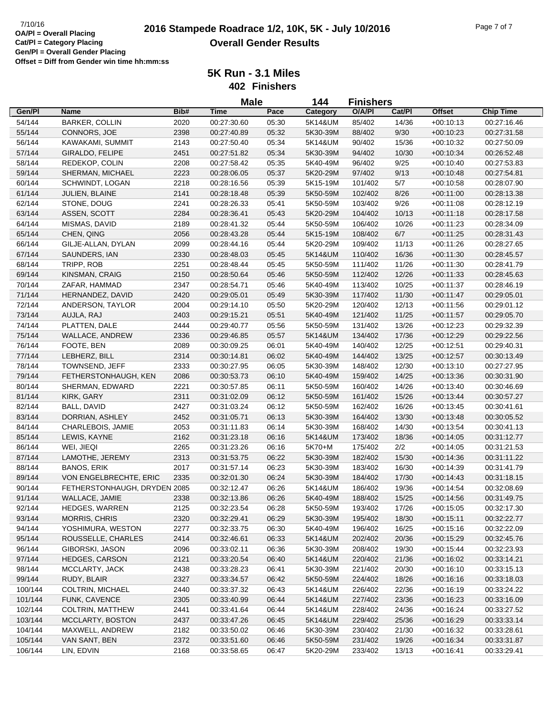**5K Run - 3.1 Miles**

**402 Finishers**

|                    |                                             |              | <b>Male</b>                |                | 144                  | <b>Finishers</b>   |                |                            |                            |
|--------------------|---------------------------------------------|--------------|----------------------------|----------------|----------------------|--------------------|----------------|----------------------------|----------------------------|
| Gen/Pl             | <b>Name</b>                                 | Bib#         | <b>Time</b>                | Pace           | Category             | O/A/PI             | Cat/Pl         | <b>Offset</b>              | <b>Chip Time</b>           |
| 54/144             | <b>BARKER, COLLIN</b>                       | 2020         | 00:27:30.60                | 05:30          | 5K14&UM              | 85/402             | 14/36          | $+00:10:13$                | 00:27:16.46                |
| 55/144             | CONNORS, JOE                                | 2398         | 00:27:40.89                | 05:32          | 5K30-39M             | 88/402             | 9/30           | $+00:10:23$                | 00:27:31.58                |
| 56/144             | KAWAKAMI, SUMMIT                            | 2143         | 00:27:50.40                | 05:34          | 5K14&UM              | 90/402             | 15/36          | $+00:10:32$                | 00:27:50.09                |
| 57/144             | GIRALDO, FELIPE                             | 2451         | 00:27:51.82                | 05:34          | 5K30-39M             | 94/402             | 10/30          | $+00:10:34$                | 00:26:52.48                |
| 58/144             | REDEKOP, COLIN                              | 2208         | 00:27:58.42                | 05:35          | 5K40-49M             | 96/402             | 9/25           | $+00:10:40$                | 00:27:53.83                |
| 59/144             | SHERMAN, MICHAEL                            | 2223         | 00:28:06.05                | 05:37          | 5K20-29M             | 97/402             | 9/13           | $+00:10:48$                | 00:27:54.81                |
| 60/144             | SCHWINDT, LOGAN                             | 2218         | 00:28:16.56                | 05:39          | 5K15-19M             | 101/402            | 5/7            | $+00:10:58$                | 00:28:07.90                |
| 61/144             | JULIEN, BLAINE                              | 2141         | 00:28:18.48                | 05:39          | 5K50-59M             | 102/402            | 8/26           | $+00:11:00$                | 00:28:13.38                |
| 62/144             | STONE, DOUG                                 | 2241         | 00:28:26.33                | 05:41          | 5K50-59M             | 103/402            | 9/26           | $+00:11:08$                | 00:28:12.19                |
| 63/144             | ASSEN, SCOTT                                | 2284         | 00:28:36.41                | 05:43          | 5K20-29M             | 104/402            | 10/13          | $+00:11:18$                | 00:28:17.58                |
| 64/144             | MISMAS, DAVID                               | 2189         | 00:28:41.32                | 05:44          | 5K50-59M             | 106/402            | 10/26          | $+00:11:23$                | 00:28:34.09                |
| 65/144             | CHEN, QING                                  | 2056         | 00:28:43.28                | 05:44          | 5K15-19M             | 108/402            | 6/7            | $+00:11:25$                | 00:28:31.43                |
| 66/144             | GILJE-ALLAN, DYLAN                          | 2099         | 00:28:44.16                | 05:44          | 5K20-29M             | 109/402            | 11/13          | $+00:11:26$                | 00:28:27.65                |
| 67/144             | SAUNDERS, IAN                               | 2330         | 00:28:48.03                | 05:45          | 5K14&UM              | 110/402            | 16/36          | $+00:11:30$                | 00:28:45.57                |
| 68/144             | TRIPP, ROB                                  | 2251         | 00:28:48.44                | 05:45          | 5K50-59M             | 111/402            | 11/26          | $+00:11:30$                | 00:28:41.79                |
| 69/144             | KINSMAN, CRAIG                              | 2150         | 00:28:50.64                | 05:46          | 5K50-59M             | 112/402            | 12/26          | $+00:11:33$                | 00:28:45.63                |
| 70/144             | ZAFAR, HAMMAD                               | 2347         | 00:28:54.71                | 05:46          | 5K40-49M             | 113/402            | 10/25          | $+00:11:37$                | 00:28:46.19                |
| 71/144             | HERNANDEZ, DAVID                            | 2420         | 00:29:05.01                | 05:49          | 5K30-39M             | 117/402            | 11/30          | $+00:11:47$                | 00:29:05.01                |
| 72/144             | ANDERSON, TAYLOR                            | 2004         | 00:29:14.10                | 05:50          | 5K20-29M             | 120/402            | 12/13          | $+00:11:56$                | 00:29:01.12                |
| 73/144             | AUJLA, RAJ                                  | 2403         | 00:29:15.21                | 05:51          | 5K40-49M             | 121/402            | 11/25          | $+00:11:57$                | 00:29:05.70                |
| 74/144             | PLATTEN, DALE                               | 2444         | 00:29:40.77                | 05:56          | 5K50-59M             | 131/402            | 13/26          | $+00:12:23$                | 00:29:32.39                |
| 75/144             | WALLACE, ANDREW                             | 2336         | 00:29:46.85                | 05:57          | 5K14&UM              | 134/402            | 17/36          | $+00:12:29$                | 00:29:22.56                |
| 76/144             | FOOTE, BEN                                  | 2089         | 00:30:09.25                | 06:01          | 5K40-49M             | 140/402            | 12/25          | $+00:12:51$                | 00:29:40.31                |
| 77/144             | LEBHERZ, BILL                               | 2314         | 00:30:14.81                | 06:02          | 5K40-49M             | 144/402            | 13/25          | $+00:12:57$                | 00:30:13.49                |
| 78/144             | TOWNSEND, JEFF                              | 2333         | 00:30:27.95                | 06:05          | 5K30-39M             | 148/402            | 12/30          | $+00:13:10$                | 00:27:27.95                |
| 79/144             | FETHERSTONHAUGH, KEN                        | 2086         | 00:30:53.73                | 06:10          | 5K40-49M             | 159/402            | 14/25          | $+00:13:36$                | 00:30:31.90                |
| 80/144             | SHERMAN, EDWARD                             | 2221         | 00:30:57.85                | 06:11          | 5K50-59M             | 160/402            | 14/26          | $+00:13:40$                | 00:30:46.69                |
| 81/144             | KIRK, GARY                                  | 2311         | 00:31:02.09                | 06:12          | 5K50-59M             | 161/402            | 15/26          | $+00:13:44$                | 00:30:57.27                |
| 82/144             | BALL, DAVID                                 | 2427         | 00:31:03.24                | 06:12          | 5K50-59M             | 162/402            | 16/26          | $+00:13:45$                | 00:30:41.61                |
| 83/144             | DORRIAN, ASHLEY                             | 2452         | 00:31:05.71                | 06:13          | 5K30-39M             | 164/402            | 13/30          | $+00:13:48$                | 00:30:05.52                |
| 84/144             | CHARLEBOIS, JAMIE                           | 2053         | 00:31:11.83                | 06:14          | 5K30-39M             | 168/402            | 14/30          | $+00:13:54$                | 00:30:41.13                |
| 85/144             | LEWIS, KAYNE                                | 2162         | 00:31:23.18                | 06:16          | 5K14&UM              | 173/402            | 18/36          | $+00:14:05$                | 00:31:12.77                |
| 86/144             | WEI, JIEQI                                  | 2265         | 00:31:23.26                | 06:16          | 5K70+M               | 175/402            | 2/2            | $+00:14:05$                | 00:31:21.53                |
| 87/144             | LAMOTHE, JEREMY                             | 2313         | 00:31:53.75                | 06:22          | 5K30-39M             | 182/402            | 15/30          | $+00:14:36$                | 00:31:11.22                |
| 88/144             | <b>BANOS, ERIK</b>                          | 2017         | 00:31:57.14                | 06:23          | 5K30-39M             | 183/402            | 16/30          | $+00:14:39$                | 00:31:41.79                |
| 89/144             | VON ENGELBRECHTE, ERIC                      | 2335         | 00:32:01.30                | 06:24          | 5K30-39M             | 184/402            | 17/30          | $+00:14:43$                | 00:31:18.15                |
| 90/144             | FETHERSTONHAUGH, DRYDEN 2085                |              | 00:32:12.47                | 06:26          | 5K14&UM              | 186/402            | 19/36          | $+00:14:54$                | 00:32:08.69                |
| 91/144             | WALLACE, JAMIE                              | 2338         | 00:32:13.86                | 06:26          | 5K40-49M             | 188/402            | 15/25          | $+00:14:56$                | 00:31:49.75                |
| 92/144             | <b>HEDGES, WARREN</b>                       |              |                            |                |                      |                    |                | $+00:15:05$                |                            |
| 93/144             | <b>MORRIS, CHRIS</b>                        | 2125<br>2320 | 00:32:23.54<br>00:32:29.41 | 06:28<br>06:29 | 5K50-59M<br>5K30-39M | 193/402<br>195/402 | 17/26<br>18/30 | $+00:15:11$                | 00:32:17.30<br>00:32:22.77 |
| 94/144             | YOSHIMURA, WESTON                           | 2277         | 00:32:33.75                | 06:30          | 5K40-49M             | 196/402            | 16/25          | $+00:15:16$                | 00:32:22.09                |
| 95/144             | ROUSSELLE, CHARLES                          | 2414         | 00:32:46.61                | 06:33          | 5K14&UM              | 202/402            | 20/36          | $+00:15:29$                | 00:32:45.76                |
| 96/144             | GIBORSKI, JASON                             |              |                            | 06:36          | 5K30-39M             | 208/402            | 19/30          |                            |                            |
|                    |                                             | 2096         | 00:33:02.11                |                |                      | 220/402            |                | $+00:15:44$                | 00:32:23.93<br>00:33:14.21 |
| 97/144<br>98/144   | HEDGES, CARSON<br>MCCLARTY, JACK            | 2121         | 00:33:20.54                | 06:40          | 5K14&UM              |                    | 21/36<br>20/30 | $+00:16:02$<br>$+00:16:10$ |                            |
|                    |                                             | 2438         | 00:33:28.23                | 06:41          | 5K30-39M             | 221/402            |                |                            | 00:33:15.13                |
| 99/144             | RUDY, BLAIR<br><b>COLTRIN, MICHAEL</b>      | 2327         | 00:33:34.57                | 06:42          | 5K50-59M             | 224/402            | 18/26          | $+00:16:16$                | 00:33:18.03                |
| 100/144            |                                             | 2440         | 00:33:37.32                | 06:43          | 5K14&UM              | 226/402            | 22/36          | $+00:16:19$                | 00:33:24.22                |
| 101/144            | FUNK, CAVENCE                               | 2305         | 00:33:40.99                | 06:44          | 5K14&UM              | 227/402            | 23/36          | $+00:16:23$                | 00:33:16.09                |
| 102/144<br>103/144 | <b>COLTRIN, MATTHEW</b><br>MCCLARTY, BOSTON | 2441<br>2437 | 00:33:41.64                | 06:44          | 5K14&UM              | 228/402<br>229/402 | 24/36          | $+00:16:24$                | 00:33:27.52<br>00:33:33.14 |
|                    |                                             |              | 00:33:47.26                | 06:45          | 5K14&UM              |                    | 25/36          | $+00:16:29$                |                            |
| 104/144            | MAXWELL, ANDREW                             | 2182         | 00:33:50.02                | 06:46          | 5K30-39M             | 230/402            | 21/30          | $+00:16:32$                | 00:33:28.61                |
| 105/144            | VAN SANT, BEN                               | 2372         | 00:33:51.60                | 06:46          | 5K50-59M             | 231/402            | 19/26          | $+00:16:34$                | 00:33:31.87                |
| 106/144            | LIN, EDVIN                                  | 2168         | 00:33:58.65                | 06:47          | 5K20-29M             | 233/402            | 13/13          | $+00:16:41$                | 00:33:29.41                |